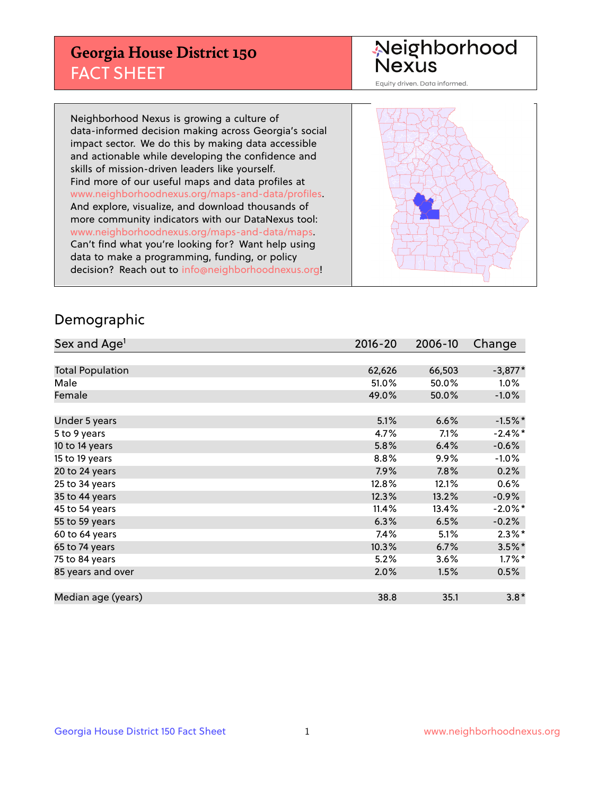## **Georgia House District 150** FACT SHEET

# Neighborhood<br>Nexus

Equity driven. Data informed.

Neighborhood Nexus is growing a culture of data-informed decision making across Georgia's social impact sector. We do this by making data accessible and actionable while developing the confidence and skills of mission-driven leaders like yourself. Find more of our useful maps and data profiles at www.neighborhoodnexus.org/maps-and-data/profiles. And explore, visualize, and download thousands of more community indicators with our DataNexus tool: www.neighborhoodnexus.org/maps-and-data/maps. Can't find what you're looking for? Want help using data to make a programming, funding, or policy decision? Reach out to [info@neighborhoodnexus.org!](mailto:info@neighborhoodnexus.org)



#### Demographic

| Sex and Age <sup>1</sup> | $2016 - 20$ | 2006-10 | Change     |
|--------------------------|-------------|---------|------------|
|                          |             |         |            |
| <b>Total Population</b>  | 62,626      | 66,503  | $-3,877*$  |
| Male                     | 51.0%       | 50.0%   | $1.0\%$    |
| Female                   | 49.0%       | 50.0%   | $-1.0\%$   |
|                          |             |         |            |
| Under 5 years            | 5.1%        | 6.6%    | $-1.5%$ *  |
| 5 to 9 years             | 4.7%        | 7.1%    | $-2.4\%$ * |
| 10 to 14 years           | 5.8%        | 6.4%    | $-0.6%$    |
| 15 to 19 years           | 8.8%        | $9.9\%$ | $-1.0\%$   |
| 20 to 24 years           | 7.9%        | 7.8%    | 0.2%       |
| 25 to 34 years           | 12.8%       | 12.1%   | $0.6\%$    |
| 35 to 44 years           | 12.3%       | 13.2%   | $-0.9%$    |
| 45 to 54 years           | 11.4%       | 13.4%   | $-2.0\%$ * |
| 55 to 59 years           | 6.3%        | 6.5%    | $-0.2%$    |
| 60 to 64 years           | 7.4%        | 5.1%    | $2.3\%$ *  |
| 65 to 74 years           | 10.3%       | 6.7%    | $3.5\%$ *  |
| 75 to 84 years           | 5.2%        | 3.6%    | $1.7\%$ *  |
| 85 years and over        | 2.0%        | 1.5%    | 0.5%       |
|                          |             |         |            |
| Median age (years)       | 38.8        | 35.1    | $3.8*$     |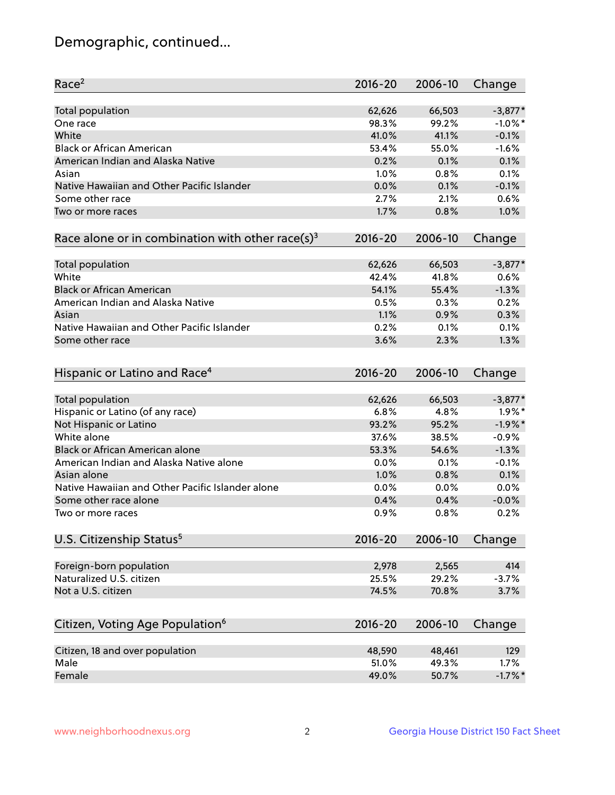## Demographic, continued...

| Race <sup>2</sup>                                            | $2016 - 20$ | 2006-10      | Change     |
|--------------------------------------------------------------|-------------|--------------|------------|
| Total population                                             | 62,626      | 66,503       | $-3,877*$  |
| One race                                                     | 98.3%       | 99.2%        | $-1.0\%$ * |
| White                                                        | 41.0%       | 41.1%        | $-0.1%$    |
| <b>Black or African American</b>                             | 53.4%       | 55.0%        | $-1.6%$    |
| American Indian and Alaska Native                            | 0.2%        | 0.1%         | 0.1%       |
| Asian                                                        | 1.0%        | 0.8%         | 0.1%       |
| Native Hawaiian and Other Pacific Islander                   | 0.0%        | 0.1%         | $-0.1%$    |
| Some other race                                              | 2.7%        | 2.1%         | 0.6%       |
| Two or more races                                            | 1.7%        | 0.8%         | 1.0%       |
| Race alone or in combination with other race(s) <sup>3</sup> | $2016 - 20$ | 2006-10      | Change     |
|                                                              | 62,626      | 66,503       | $-3,877*$  |
| Total population<br>White                                    | 42.4%       | 41.8%        | 0.6%       |
| <b>Black or African American</b>                             | 54.1%       | 55.4%        | $-1.3%$    |
| American Indian and Alaska Native                            | 0.5%        | 0.3%         | 0.2%       |
| Asian                                                        | 1.1%        | 0.9%         | 0.3%       |
| Native Hawaiian and Other Pacific Islander                   |             |              |            |
|                                                              | 0.2%        | 0.1%<br>2.3% | 0.1%       |
| Some other race                                              | 3.6%        |              | 1.3%       |
| Hispanic or Latino and Race <sup>4</sup>                     | $2016 - 20$ | 2006-10      | Change     |
| Total population                                             | 62,626      | 66,503       | $-3,877*$  |
| Hispanic or Latino (of any race)                             | 6.8%        | 4.8%         | $1.9\%$ *  |
| Not Hispanic or Latino                                       | 93.2%       | 95.2%        | $-1.9%$ *  |
| White alone                                                  | 37.6%       | 38.5%        | $-0.9%$    |
| Black or African American alone                              | 53.3%       | 54.6%        | $-1.3%$    |
| American Indian and Alaska Native alone                      | 0.0%        | 0.1%         | $-0.1%$    |
| Asian alone                                                  | 1.0%        | 0.8%         | 0.1%       |
| Native Hawaiian and Other Pacific Islander alone             | $0.0\%$     | 0.0%         | 0.0%       |
| Some other race alone                                        | 0.4%        | 0.4%         | $-0.0%$    |
| Two or more races                                            | 0.9%        | 0.8%         | 0.2%       |
| U.S. Citizenship Status <sup>5</sup>                         | $2016 - 20$ | 2006-10      | Change     |
|                                                              |             |              |            |
| Foreign-born population                                      | 2,978       | 2,565        | 414        |
| Naturalized U.S. citizen                                     | 25.5%       | 29.2%        | $-3.7%$    |
| Not a U.S. citizen                                           | 74.5%       | 70.8%        | 3.7%       |
|                                                              |             |              |            |
| Citizen, Voting Age Population <sup>6</sup>                  | 2016-20     | 2006-10      | Change     |
| Citizen, 18 and over population                              | 48,590      | 48,461       | 129        |
| Male                                                         | 51.0%       | 49.3%        | 1.7%       |
| Female                                                       | 49.0%       | 50.7%        | $-1.7%$ *  |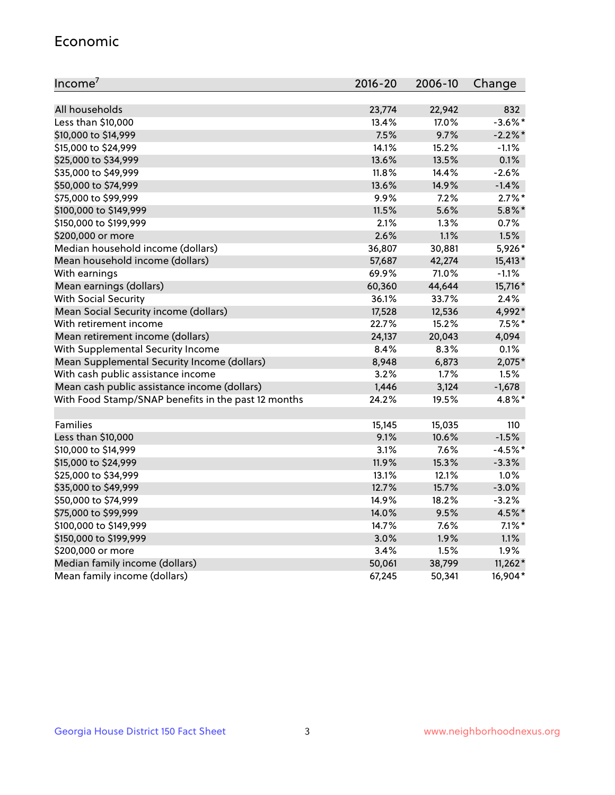#### Economic

| Income <sup>7</sup>                                 | $2016 - 20$ | 2006-10 | Change     |
|-----------------------------------------------------|-------------|---------|------------|
|                                                     |             |         |            |
| All households                                      | 23,774      | 22,942  | 832        |
| Less than \$10,000                                  | 13.4%       | 17.0%   | $-3.6\%$ * |
| \$10,000 to \$14,999                                | 7.5%        | 9.7%    | $-2.2\%$ * |
| \$15,000 to \$24,999                                | 14.1%       | 15.2%   | $-1.1%$    |
| \$25,000 to \$34,999                                | 13.6%       | 13.5%   | 0.1%       |
| \$35,000 to \$49,999                                | 11.8%       | 14.4%   | $-2.6%$    |
| \$50,000 to \$74,999                                | 13.6%       | 14.9%   | $-1.4%$    |
| \$75,000 to \$99,999                                | 9.9%        | 7.2%    | $2.7\%$ *  |
| \$100,000 to \$149,999                              | 11.5%       | 5.6%    | $5.8\%$ *  |
| \$150,000 to \$199,999                              | 2.1%        | 1.3%    | 0.7%       |
| \$200,000 or more                                   | 2.6%        | 1.1%    | 1.5%       |
| Median household income (dollars)                   | 36,807      | 30,881  | 5,926*     |
| Mean household income (dollars)                     | 57,687      | 42,274  | 15,413*    |
| With earnings                                       | 69.9%       | 71.0%   | $-1.1%$    |
| Mean earnings (dollars)                             | 60,360      | 44,644  | 15,716*    |
| <b>With Social Security</b>                         | 36.1%       | 33.7%   | 2.4%       |
| Mean Social Security income (dollars)               | 17,528      | 12,536  | 4,992*     |
| With retirement income                              | 22.7%       | 15.2%   | $7.5\%$ *  |
| Mean retirement income (dollars)                    | 24,137      | 20,043  | 4,094      |
| With Supplemental Security Income                   | 8.4%        | $8.3\%$ | 0.1%       |
| Mean Supplemental Security Income (dollars)         | 8,948       | 6,873   | 2,075*     |
| With cash public assistance income                  | 3.2%        | 1.7%    | 1.5%       |
| Mean cash public assistance income (dollars)        | 1,446       | 3,124   | $-1,678$   |
| With Food Stamp/SNAP benefits in the past 12 months | 24.2%       | 19.5%   | 4.8%*      |
|                                                     |             |         |            |
| Families                                            | 15,145      | 15,035  | 110        |
| Less than \$10,000                                  | 9.1%        | 10.6%   | $-1.5%$    |
| \$10,000 to \$14,999                                | 3.1%        | 7.6%    | $-4.5%$ *  |
| \$15,000 to \$24,999                                | 11.9%       | 15.3%   | $-3.3%$    |
| \$25,000 to \$34,999                                | 13.1%       | 12.1%   | 1.0%       |
| \$35,000 to \$49,999                                | 12.7%       | 15.7%   | $-3.0%$    |
| \$50,000 to \$74,999                                | 14.9%       | 18.2%   | $-3.2%$    |
| \$75,000 to \$99,999                                | 14.0%       | 9.5%    | 4.5%*      |
| \$100,000 to \$149,999                              | 14.7%       | $7.6\%$ | $7.1\%$ *  |
| \$150,000 to \$199,999                              | 3.0%        | 1.9%    | 1.1%       |
| \$200,000 or more                                   | 3.4%        | 1.5%    | 1.9%       |
| Median family income (dollars)                      | 50,061      | 38,799  | $11,262*$  |
| Mean family income (dollars)                        | 67,245      | 50,341  | 16,904*    |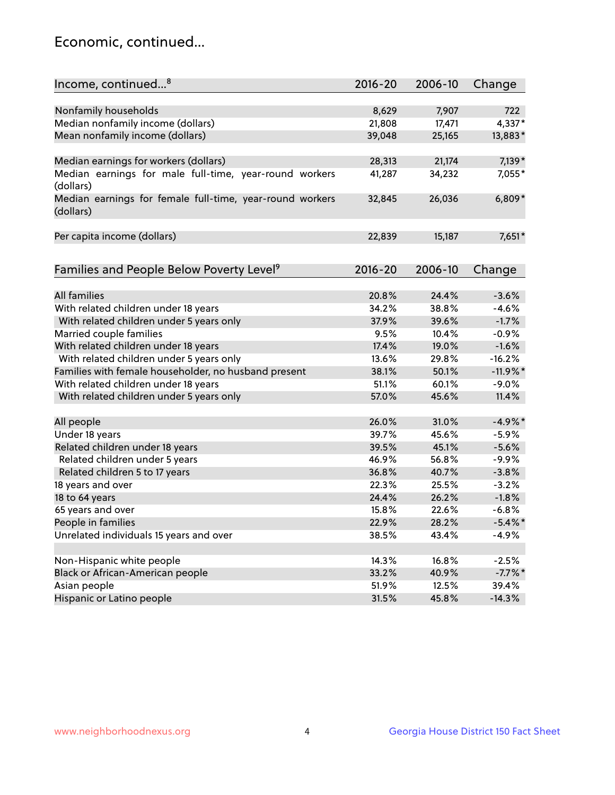## Economic, continued...

| Income, continued <sup>8</sup>                                        | $2016 - 20$ | 2006-10 | Change     |
|-----------------------------------------------------------------------|-------------|---------|------------|
|                                                                       |             |         |            |
| Nonfamily households                                                  | 8,629       | 7,907   | 722        |
| Median nonfamily income (dollars)                                     | 21,808      | 17,471  | 4,337*     |
| Mean nonfamily income (dollars)                                       | 39,048      | 25,165  | 13,883*    |
| Median earnings for workers (dollars)                                 | 28,313      | 21,174  | $7,139*$   |
| Median earnings for male full-time, year-round workers                | 41,287      | 34,232  | 7,055*     |
| (dollars)                                                             |             |         |            |
| Median earnings for female full-time, year-round workers<br>(dollars) | 32,845      | 26,036  | $6,809*$   |
| Per capita income (dollars)                                           | 22,839      | 15,187  | 7,651*     |
|                                                                       |             |         |            |
| Families and People Below Poverty Level <sup>9</sup>                  | 2016-20     | 2006-10 | Change     |
|                                                                       |             |         |            |
| <b>All families</b>                                                   | 20.8%       | 24.4%   | $-3.6%$    |
| With related children under 18 years                                  | 34.2%       | 38.8%   | $-4.6%$    |
| With related children under 5 years only                              | 37.9%       | 39.6%   | $-1.7%$    |
| Married couple families                                               | 9.5%        | 10.4%   | $-0.9%$    |
| With related children under 18 years                                  | 17.4%       | 19.0%   | $-1.6%$    |
| With related children under 5 years only                              | 13.6%       | 29.8%   | $-16.2%$   |
| Families with female householder, no husband present                  | 38.1%       | 50.1%   | $-11.9%$ * |
| With related children under 18 years                                  | 51.1%       | 60.1%   | $-9.0\%$   |
| With related children under 5 years only                              | 57.0%       | 45.6%   | 11.4%      |
| All people                                                            | 26.0%       | 31.0%   | $-4.9%$ *  |
| Under 18 years                                                        | 39.7%       | 45.6%   | $-5.9%$    |
| Related children under 18 years                                       | 39.5%       | 45.1%   | $-5.6%$    |
| Related children under 5 years                                        | 46.9%       | 56.8%   | $-9.9%$    |
| Related children 5 to 17 years                                        | 36.8%       | 40.7%   | $-3.8%$    |
| 18 years and over                                                     | 22.3%       | 25.5%   | $-3.2%$    |
| 18 to 64 years                                                        | 24.4%       | 26.2%   | $-1.8%$    |
| 65 years and over                                                     | 15.8%       | 22.6%   | $-6.8%$    |
| People in families                                                    | 22.9%       | 28.2%   | $-5.4\%$ * |
| Unrelated individuals 15 years and over                               | 38.5%       | 43.4%   | $-4.9%$    |
|                                                                       |             |         |            |
| Non-Hispanic white people                                             | 14.3%       | 16.8%   | $-2.5%$    |
| Black or African-American people                                      | 33.2%       | 40.9%   | $-7.7%$ *  |
| Asian people                                                          | 51.9%       | 12.5%   | 39.4%      |
| Hispanic or Latino people                                             | 31.5%       | 45.8%   | $-14.3%$   |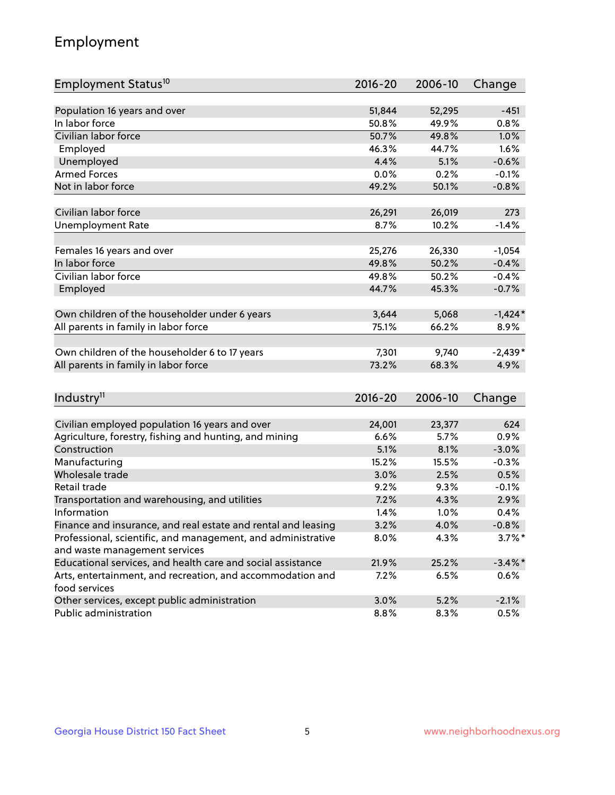## Employment

| Employment Status <sup>10</sup>                                             | $2016 - 20$ | 2006-10 | Change     |
|-----------------------------------------------------------------------------|-------------|---------|------------|
|                                                                             |             |         |            |
| Population 16 years and over                                                | 51,844      | 52,295  | $-451$     |
| In labor force                                                              | 50.8%       | 49.9%   | 0.8%       |
| Civilian labor force                                                        | 50.7%       | 49.8%   | 1.0%       |
| Employed                                                                    | 46.3%       | 44.7%   | 1.6%       |
| Unemployed                                                                  | 4.4%        | 5.1%    | $-0.6%$    |
| <b>Armed Forces</b>                                                         | 0.0%        | 0.2%    | $-0.1%$    |
| Not in labor force                                                          | 49.2%       | 50.1%   | $-0.8%$    |
|                                                                             |             |         |            |
| Civilian labor force                                                        | 26,291      | 26,019  | 273        |
| <b>Unemployment Rate</b>                                                    | 8.7%        | 10.2%   | $-1.4%$    |
|                                                                             |             |         |            |
| Females 16 years and over                                                   | 25,276      | 26,330  | $-1,054$   |
| In labor force                                                              | 49.8%       | 50.2%   | $-0.4%$    |
| Civilian labor force                                                        | 49.8%       | 50.2%   | $-0.4%$    |
| Employed                                                                    | 44.7%       | 45.3%   | $-0.7%$    |
| Own children of the householder under 6 years                               | 3,644       | 5,068   | $-1,424*$  |
| All parents in family in labor force                                        | 75.1%       | 66.2%   | 8.9%       |
|                                                                             |             |         |            |
| Own children of the householder 6 to 17 years                               | 7,301       | 9,740   | $-2,439*$  |
| All parents in family in labor force                                        | 73.2%       | 68.3%   | 4.9%       |
|                                                                             |             |         |            |
| Industry <sup>11</sup>                                                      | $2016 - 20$ | 2006-10 | Change     |
|                                                                             |             |         |            |
| Civilian employed population 16 years and over                              | 24,001      | 23,377  | 624        |
| Agriculture, forestry, fishing and hunting, and mining                      | 6.6%        | 5.7%    | 0.9%       |
| Construction                                                                | 5.1%        | 8.1%    | $-3.0%$    |
| Manufacturing                                                               | 15.2%       | 15.5%   | $-0.3%$    |
| Wholesale trade                                                             | 3.0%        | 2.5%    | 0.5%       |
| Retail trade                                                                | 9.2%        | 9.3%    | $-0.1%$    |
| Transportation and warehousing, and utilities                               | 7.2%        | 4.3%    | 2.9%       |
| Information                                                                 | 1.4%        | 1.0%    | 0.4%       |
| Finance and insurance, and real estate and rental and leasing               | 3.2%        | 4.0%    | $-0.8\%$   |
| Professional, scientific, and management, and administrative                | 8.0%        | 4.3%    | $3.7\%$ *  |
| and waste management services                                               |             |         |            |
| Educational services, and health care and social assistance                 | 21.9%       | 25.2%   | $-3.4\%$ * |
| Arts, entertainment, and recreation, and accommodation and<br>food services | 7.2%        | 6.5%    | $0.6\%$    |
| Other services, except public administration                                | 3.0%        | 5.2%    | $-2.1%$    |
| Public administration                                                       | 8.8%        | 8.3%    | 0.5%       |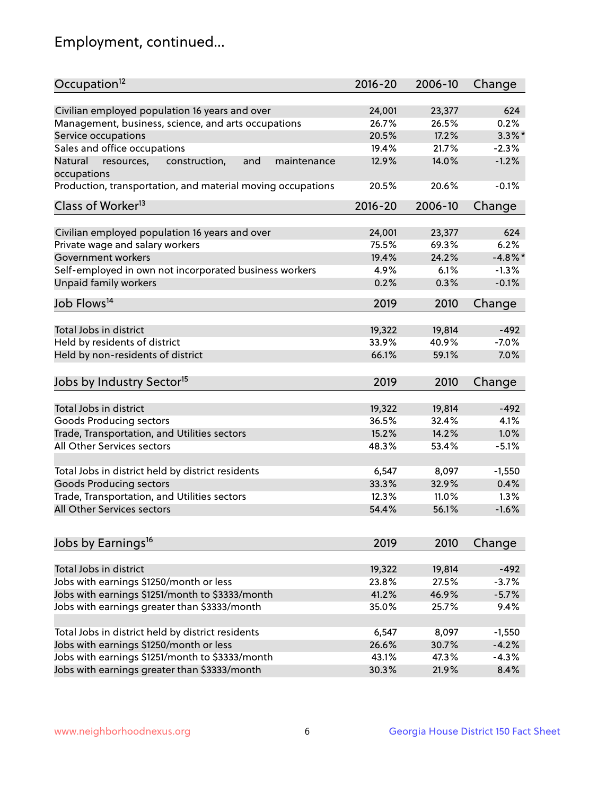## Employment, continued...

| Civilian employed population 16 years and over<br>624<br>24,001<br>23,377<br>Management, business, science, and arts occupations<br>26.7%<br>26.5%<br>0.2%<br>$3.3\%$ *<br>Service occupations<br>20.5%<br>17.2%<br>Sales and office occupations<br>19.4%<br>21.7%<br>$-2.3%$<br>$-1.2%$<br>Natural<br>and<br>12.9%<br>14.0%<br>resources,<br>construction,<br>maintenance<br>occupations<br>Production, transportation, and material moving occupations<br>20.5%<br>20.6%<br>$-0.1%$<br>Class of Worker <sup>13</sup><br>$2016 - 20$<br>2006-10<br>Change<br>Civilian employed population 16 years and over<br>24,001<br>23,377<br>624<br>Private wage and salary workers<br>75.5%<br>69.3%<br>6.2%<br>$-4.8\%$ *<br>Government workers<br>19.4%<br>24.2%<br>Self-employed in own not incorporated business workers<br>4.9%<br>6.1%<br>$-1.3%$<br><b>Unpaid family workers</b><br>$-0.1%$<br>0.2%<br>0.3%<br>Job Flows <sup>14</sup><br>2019<br>2010<br>Change<br>Total Jobs in district<br>19,322<br>19,814<br>$-492$<br>Held by residents of district<br>$-7.0%$<br>33.9%<br>40.9%<br>Held by non-residents of district<br>7.0%<br>66.1%<br>59.1%<br>Jobs by Industry Sector <sup>15</sup><br>2019<br>2010<br>Change<br>Total Jobs in district<br>19,322<br>19,814<br>$-492$<br><b>Goods Producing sectors</b><br>36.5%<br>32.4%<br>4.1%<br>Trade, Transportation, and Utilities sectors<br>15.2%<br>14.2%<br>1.0%<br>All Other Services sectors<br>53.4%<br>$-5.1%$<br>48.3%<br>Total Jobs in district held by district residents<br>6,547<br>8,097<br>$-1,550$<br>33.3%<br>32.9%<br><b>Goods Producing sectors</b><br>0.4%<br>Trade, Transportation, and Utilities sectors<br>12.3%<br>11.0%<br>1.3%<br>All Other Services sectors<br>54.4%<br>56.1%<br>$-1.6%$<br>Jobs by Earnings <sup>16</sup><br>2019<br>2010<br>Change<br>Total Jobs in district<br>$-492$<br>19,322<br>19,814<br>Jobs with earnings \$1250/month or less<br>23.8%<br>27.5%<br>$-3.7%$<br>Jobs with earnings \$1251/month to \$3333/month<br>41.2%<br>$-5.7%$<br>46.9%<br>Jobs with earnings greater than \$3333/month<br>9.4%<br>35.0%<br>25.7%<br>Total Jobs in district held by district residents<br>8,097<br>6,547<br>$-1,550$<br>Jobs with earnings \$1250/month or less<br>26.6%<br>30.7%<br>$-4.2%$<br>Jobs with earnings \$1251/month to \$3333/month<br>43.1%<br>47.3%<br>$-4.3%$<br>Jobs with earnings greater than \$3333/month<br>30.3%<br>21.9%<br>8.4% | Occupation <sup>12</sup> | $2016 - 20$ | 2006-10 | Change |
|-------------------------------------------------------------------------------------------------------------------------------------------------------------------------------------------------------------------------------------------------------------------------------------------------------------------------------------------------------------------------------------------------------------------------------------------------------------------------------------------------------------------------------------------------------------------------------------------------------------------------------------------------------------------------------------------------------------------------------------------------------------------------------------------------------------------------------------------------------------------------------------------------------------------------------------------------------------------------------------------------------------------------------------------------------------------------------------------------------------------------------------------------------------------------------------------------------------------------------------------------------------------------------------------------------------------------------------------------------------------------------------------------------------------------------------------------------------------------------------------------------------------------------------------------------------------------------------------------------------------------------------------------------------------------------------------------------------------------------------------------------------------------------------------------------------------------------------------------------------------------------------------------------------------------------------------------------------------------------------------------------------------------------------------------------------------------------------------------------------------------------------------------------------------------------------------------------------------------------------------------------------------------------------------------------------------------------------------------------------------------------------------------------------------------------------------------|--------------------------|-------------|---------|--------|
|                                                                                                                                                                                                                                                                                                                                                                                                                                                                                                                                                                                                                                                                                                                                                                                                                                                                                                                                                                                                                                                                                                                                                                                                                                                                                                                                                                                                                                                                                                                                                                                                                                                                                                                                                                                                                                                                                                                                                                                                                                                                                                                                                                                                                                                                                                                                                                                                                                                 |                          |             |         |        |
|                                                                                                                                                                                                                                                                                                                                                                                                                                                                                                                                                                                                                                                                                                                                                                                                                                                                                                                                                                                                                                                                                                                                                                                                                                                                                                                                                                                                                                                                                                                                                                                                                                                                                                                                                                                                                                                                                                                                                                                                                                                                                                                                                                                                                                                                                                                                                                                                                                                 |                          |             |         |        |
|                                                                                                                                                                                                                                                                                                                                                                                                                                                                                                                                                                                                                                                                                                                                                                                                                                                                                                                                                                                                                                                                                                                                                                                                                                                                                                                                                                                                                                                                                                                                                                                                                                                                                                                                                                                                                                                                                                                                                                                                                                                                                                                                                                                                                                                                                                                                                                                                                                                 |                          |             |         |        |
|                                                                                                                                                                                                                                                                                                                                                                                                                                                                                                                                                                                                                                                                                                                                                                                                                                                                                                                                                                                                                                                                                                                                                                                                                                                                                                                                                                                                                                                                                                                                                                                                                                                                                                                                                                                                                                                                                                                                                                                                                                                                                                                                                                                                                                                                                                                                                                                                                                                 |                          |             |         |        |
|                                                                                                                                                                                                                                                                                                                                                                                                                                                                                                                                                                                                                                                                                                                                                                                                                                                                                                                                                                                                                                                                                                                                                                                                                                                                                                                                                                                                                                                                                                                                                                                                                                                                                                                                                                                                                                                                                                                                                                                                                                                                                                                                                                                                                                                                                                                                                                                                                                                 |                          |             |         |        |
|                                                                                                                                                                                                                                                                                                                                                                                                                                                                                                                                                                                                                                                                                                                                                                                                                                                                                                                                                                                                                                                                                                                                                                                                                                                                                                                                                                                                                                                                                                                                                                                                                                                                                                                                                                                                                                                                                                                                                                                                                                                                                                                                                                                                                                                                                                                                                                                                                                                 |                          |             |         |        |
|                                                                                                                                                                                                                                                                                                                                                                                                                                                                                                                                                                                                                                                                                                                                                                                                                                                                                                                                                                                                                                                                                                                                                                                                                                                                                                                                                                                                                                                                                                                                                                                                                                                                                                                                                                                                                                                                                                                                                                                                                                                                                                                                                                                                                                                                                                                                                                                                                                                 |                          |             |         |        |
|                                                                                                                                                                                                                                                                                                                                                                                                                                                                                                                                                                                                                                                                                                                                                                                                                                                                                                                                                                                                                                                                                                                                                                                                                                                                                                                                                                                                                                                                                                                                                                                                                                                                                                                                                                                                                                                                                                                                                                                                                                                                                                                                                                                                                                                                                                                                                                                                                                                 |                          |             |         |        |
|                                                                                                                                                                                                                                                                                                                                                                                                                                                                                                                                                                                                                                                                                                                                                                                                                                                                                                                                                                                                                                                                                                                                                                                                                                                                                                                                                                                                                                                                                                                                                                                                                                                                                                                                                                                                                                                                                                                                                                                                                                                                                                                                                                                                                                                                                                                                                                                                                                                 |                          |             |         |        |
|                                                                                                                                                                                                                                                                                                                                                                                                                                                                                                                                                                                                                                                                                                                                                                                                                                                                                                                                                                                                                                                                                                                                                                                                                                                                                                                                                                                                                                                                                                                                                                                                                                                                                                                                                                                                                                                                                                                                                                                                                                                                                                                                                                                                                                                                                                                                                                                                                                                 |                          |             |         |        |
|                                                                                                                                                                                                                                                                                                                                                                                                                                                                                                                                                                                                                                                                                                                                                                                                                                                                                                                                                                                                                                                                                                                                                                                                                                                                                                                                                                                                                                                                                                                                                                                                                                                                                                                                                                                                                                                                                                                                                                                                                                                                                                                                                                                                                                                                                                                                                                                                                                                 |                          |             |         |        |
|                                                                                                                                                                                                                                                                                                                                                                                                                                                                                                                                                                                                                                                                                                                                                                                                                                                                                                                                                                                                                                                                                                                                                                                                                                                                                                                                                                                                                                                                                                                                                                                                                                                                                                                                                                                                                                                                                                                                                                                                                                                                                                                                                                                                                                                                                                                                                                                                                                                 |                          |             |         |        |
|                                                                                                                                                                                                                                                                                                                                                                                                                                                                                                                                                                                                                                                                                                                                                                                                                                                                                                                                                                                                                                                                                                                                                                                                                                                                                                                                                                                                                                                                                                                                                                                                                                                                                                                                                                                                                                                                                                                                                                                                                                                                                                                                                                                                                                                                                                                                                                                                                                                 |                          |             |         |        |
|                                                                                                                                                                                                                                                                                                                                                                                                                                                                                                                                                                                                                                                                                                                                                                                                                                                                                                                                                                                                                                                                                                                                                                                                                                                                                                                                                                                                                                                                                                                                                                                                                                                                                                                                                                                                                                                                                                                                                                                                                                                                                                                                                                                                                                                                                                                                                                                                                                                 |                          |             |         |        |
|                                                                                                                                                                                                                                                                                                                                                                                                                                                                                                                                                                                                                                                                                                                                                                                                                                                                                                                                                                                                                                                                                                                                                                                                                                                                                                                                                                                                                                                                                                                                                                                                                                                                                                                                                                                                                                                                                                                                                                                                                                                                                                                                                                                                                                                                                                                                                                                                                                                 |                          |             |         |        |
|                                                                                                                                                                                                                                                                                                                                                                                                                                                                                                                                                                                                                                                                                                                                                                                                                                                                                                                                                                                                                                                                                                                                                                                                                                                                                                                                                                                                                                                                                                                                                                                                                                                                                                                                                                                                                                                                                                                                                                                                                                                                                                                                                                                                                                                                                                                                                                                                                                                 |                          |             |         |        |
|                                                                                                                                                                                                                                                                                                                                                                                                                                                                                                                                                                                                                                                                                                                                                                                                                                                                                                                                                                                                                                                                                                                                                                                                                                                                                                                                                                                                                                                                                                                                                                                                                                                                                                                                                                                                                                                                                                                                                                                                                                                                                                                                                                                                                                                                                                                                                                                                                                                 |                          |             |         |        |
|                                                                                                                                                                                                                                                                                                                                                                                                                                                                                                                                                                                                                                                                                                                                                                                                                                                                                                                                                                                                                                                                                                                                                                                                                                                                                                                                                                                                                                                                                                                                                                                                                                                                                                                                                                                                                                                                                                                                                                                                                                                                                                                                                                                                                                                                                                                                                                                                                                                 |                          |             |         |        |
|                                                                                                                                                                                                                                                                                                                                                                                                                                                                                                                                                                                                                                                                                                                                                                                                                                                                                                                                                                                                                                                                                                                                                                                                                                                                                                                                                                                                                                                                                                                                                                                                                                                                                                                                                                                                                                                                                                                                                                                                                                                                                                                                                                                                                                                                                                                                                                                                                                                 |                          |             |         |        |
|                                                                                                                                                                                                                                                                                                                                                                                                                                                                                                                                                                                                                                                                                                                                                                                                                                                                                                                                                                                                                                                                                                                                                                                                                                                                                                                                                                                                                                                                                                                                                                                                                                                                                                                                                                                                                                                                                                                                                                                                                                                                                                                                                                                                                                                                                                                                                                                                                                                 |                          |             |         |        |
|                                                                                                                                                                                                                                                                                                                                                                                                                                                                                                                                                                                                                                                                                                                                                                                                                                                                                                                                                                                                                                                                                                                                                                                                                                                                                                                                                                                                                                                                                                                                                                                                                                                                                                                                                                                                                                                                                                                                                                                                                                                                                                                                                                                                                                                                                                                                                                                                                                                 |                          |             |         |        |
|                                                                                                                                                                                                                                                                                                                                                                                                                                                                                                                                                                                                                                                                                                                                                                                                                                                                                                                                                                                                                                                                                                                                                                                                                                                                                                                                                                                                                                                                                                                                                                                                                                                                                                                                                                                                                                                                                                                                                                                                                                                                                                                                                                                                                                                                                                                                                                                                                                                 |                          |             |         |        |
|                                                                                                                                                                                                                                                                                                                                                                                                                                                                                                                                                                                                                                                                                                                                                                                                                                                                                                                                                                                                                                                                                                                                                                                                                                                                                                                                                                                                                                                                                                                                                                                                                                                                                                                                                                                                                                                                                                                                                                                                                                                                                                                                                                                                                                                                                                                                                                                                                                                 |                          |             |         |        |
|                                                                                                                                                                                                                                                                                                                                                                                                                                                                                                                                                                                                                                                                                                                                                                                                                                                                                                                                                                                                                                                                                                                                                                                                                                                                                                                                                                                                                                                                                                                                                                                                                                                                                                                                                                                                                                                                                                                                                                                                                                                                                                                                                                                                                                                                                                                                                                                                                                                 |                          |             |         |        |
|                                                                                                                                                                                                                                                                                                                                                                                                                                                                                                                                                                                                                                                                                                                                                                                                                                                                                                                                                                                                                                                                                                                                                                                                                                                                                                                                                                                                                                                                                                                                                                                                                                                                                                                                                                                                                                                                                                                                                                                                                                                                                                                                                                                                                                                                                                                                                                                                                                                 |                          |             |         |        |
|                                                                                                                                                                                                                                                                                                                                                                                                                                                                                                                                                                                                                                                                                                                                                                                                                                                                                                                                                                                                                                                                                                                                                                                                                                                                                                                                                                                                                                                                                                                                                                                                                                                                                                                                                                                                                                                                                                                                                                                                                                                                                                                                                                                                                                                                                                                                                                                                                                                 |                          |             |         |        |
|                                                                                                                                                                                                                                                                                                                                                                                                                                                                                                                                                                                                                                                                                                                                                                                                                                                                                                                                                                                                                                                                                                                                                                                                                                                                                                                                                                                                                                                                                                                                                                                                                                                                                                                                                                                                                                                                                                                                                                                                                                                                                                                                                                                                                                                                                                                                                                                                                                                 |                          |             |         |        |
|                                                                                                                                                                                                                                                                                                                                                                                                                                                                                                                                                                                                                                                                                                                                                                                                                                                                                                                                                                                                                                                                                                                                                                                                                                                                                                                                                                                                                                                                                                                                                                                                                                                                                                                                                                                                                                                                                                                                                                                                                                                                                                                                                                                                                                                                                                                                                                                                                                                 |                          |             |         |        |
|                                                                                                                                                                                                                                                                                                                                                                                                                                                                                                                                                                                                                                                                                                                                                                                                                                                                                                                                                                                                                                                                                                                                                                                                                                                                                                                                                                                                                                                                                                                                                                                                                                                                                                                                                                                                                                                                                                                                                                                                                                                                                                                                                                                                                                                                                                                                                                                                                                                 |                          |             |         |        |
|                                                                                                                                                                                                                                                                                                                                                                                                                                                                                                                                                                                                                                                                                                                                                                                                                                                                                                                                                                                                                                                                                                                                                                                                                                                                                                                                                                                                                                                                                                                                                                                                                                                                                                                                                                                                                                                                                                                                                                                                                                                                                                                                                                                                                                                                                                                                                                                                                                                 |                          |             |         |        |
|                                                                                                                                                                                                                                                                                                                                                                                                                                                                                                                                                                                                                                                                                                                                                                                                                                                                                                                                                                                                                                                                                                                                                                                                                                                                                                                                                                                                                                                                                                                                                                                                                                                                                                                                                                                                                                                                                                                                                                                                                                                                                                                                                                                                                                                                                                                                                                                                                                                 |                          |             |         |        |
|                                                                                                                                                                                                                                                                                                                                                                                                                                                                                                                                                                                                                                                                                                                                                                                                                                                                                                                                                                                                                                                                                                                                                                                                                                                                                                                                                                                                                                                                                                                                                                                                                                                                                                                                                                                                                                                                                                                                                                                                                                                                                                                                                                                                                                                                                                                                                                                                                                                 |                          |             |         |        |
|                                                                                                                                                                                                                                                                                                                                                                                                                                                                                                                                                                                                                                                                                                                                                                                                                                                                                                                                                                                                                                                                                                                                                                                                                                                                                                                                                                                                                                                                                                                                                                                                                                                                                                                                                                                                                                                                                                                                                                                                                                                                                                                                                                                                                                                                                                                                                                                                                                                 |                          |             |         |        |
|                                                                                                                                                                                                                                                                                                                                                                                                                                                                                                                                                                                                                                                                                                                                                                                                                                                                                                                                                                                                                                                                                                                                                                                                                                                                                                                                                                                                                                                                                                                                                                                                                                                                                                                                                                                                                                                                                                                                                                                                                                                                                                                                                                                                                                                                                                                                                                                                                                                 |                          |             |         |        |
|                                                                                                                                                                                                                                                                                                                                                                                                                                                                                                                                                                                                                                                                                                                                                                                                                                                                                                                                                                                                                                                                                                                                                                                                                                                                                                                                                                                                                                                                                                                                                                                                                                                                                                                                                                                                                                                                                                                                                                                                                                                                                                                                                                                                                                                                                                                                                                                                                                                 |                          |             |         |        |
|                                                                                                                                                                                                                                                                                                                                                                                                                                                                                                                                                                                                                                                                                                                                                                                                                                                                                                                                                                                                                                                                                                                                                                                                                                                                                                                                                                                                                                                                                                                                                                                                                                                                                                                                                                                                                                                                                                                                                                                                                                                                                                                                                                                                                                                                                                                                                                                                                                                 |                          |             |         |        |
|                                                                                                                                                                                                                                                                                                                                                                                                                                                                                                                                                                                                                                                                                                                                                                                                                                                                                                                                                                                                                                                                                                                                                                                                                                                                                                                                                                                                                                                                                                                                                                                                                                                                                                                                                                                                                                                                                                                                                                                                                                                                                                                                                                                                                                                                                                                                                                                                                                                 |                          |             |         |        |
|                                                                                                                                                                                                                                                                                                                                                                                                                                                                                                                                                                                                                                                                                                                                                                                                                                                                                                                                                                                                                                                                                                                                                                                                                                                                                                                                                                                                                                                                                                                                                                                                                                                                                                                                                                                                                                                                                                                                                                                                                                                                                                                                                                                                                                                                                                                                                                                                                                                 |                          |             |         |        |
|                                                                                                                                                                                                                                                                                                                                                                                                                                                                                                                                                                                                                                                                                                                                                                                                                                                                                                                                                                                                                                                                                                                                                                                                                                                                                                                                                                                                                                                                                                                                                                                                                                                                                                                                                                                                                                                                                                                                                                                                                                                                                                                                                                                                                                                                                                                                                                                                                                                 |                          |             |         |        |
|                                                                                                                                                                                                                                                                                                                                                                                                                                                                                                                                                                                                                                                                                                                                                                                                                                                                                                                                                                                                                                                                                                                                                                                                                                                                                                                                                                                                                                                                                                                                                                                                                                                                                                                                                                                                                                                                                                                                                                                                                                                                                                                                                                                                                                                                                                                                                                                                                                                 |                          |             |         |        |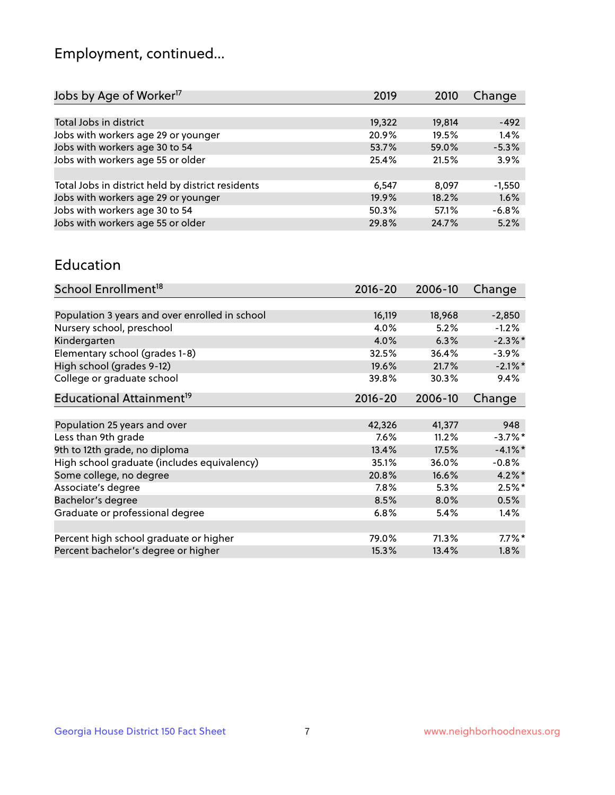## Employment, continued...

| 2019   | 2010   | Change   |
|--------|--------|----------|
|        |        |          |
| 19,322 | 19,814 | $-492$   |
| 20.9%  | 19.5%  | 1.4%     |
| 53.7%  | 59.0%  | $-5.3%$  |
| 25.4%  | 21.5%  | 3.9%     |
|        |        |          |
| 6.547  | 8.097  | $-1,550$ |
| 19.9%  | 18.2%  | 1.6%     |
| 50.3%  | 57.1%  | $-6.8%$  |
| 29.8%  | 24.7%  | 5.2%     |
|        |        |          |

#### Education

| School Enrollment <sup>18</sup>                | $2016 - 20$ | 2006-10 | Change     |
|------------------------------------------------|-------------|---------|------------|
|                                                |             |         |            |
| Population 3 years and over enrolled in school | 16,119      | 18,968  | $-2,850$   |
| Nursery school, preschool                      | 4.0%        | 5.2%    | $-1.2%$    |
| Kindergarten                                   | 4.0%        | 6.3%    | $-2.3\%$ * |
| Elementary school (grades 1-8)                 | 32.5%       | 36.4%   | $-3.9%$    |
| High school (grades 9-12)                      | 19.6%       | 21.7%   | $-2.1\%$ * |
| College or graduate school                     | 39.8%       | 30.3%   | 9.4%       |
| Educational Attainment <sup>19</sup>           | $2016 - 20$ | 2006-10 | Change     |
|                                                |             |         |            |
| Population 25 years and over                   | 42,326      | 41,377  | 948        |
| Less than 9th grade                            | 7.6%        | 11.2%   | $-3.7\%$ * |
| 9th to 12th grade, no diploma                  | 13.4%       | 17.5%   | $-4.1%$ *  |
| High school graduate (includes equivalency)    | 35.1%       | 36.0%   | $-0.8%$    |
| Some college, no degree                        | 20.8%       | 16.6%   | $4.2\%$ *  |
| Associate's degree                             | 7.8%        | 5.3%    | $2.5%$ *   |
| Bachelor's degree                              | 8.5%        | 8.0%    | 0.5%       |
| Graduate or professional degree                | 6.8%        | 5.4%    | $1.4\%$    |
|                                                |             |         |            |
| Percent high school graduate or higher         | 79.0%       | 71.3%   | $7.7\%$ *  |
| Percent bachelor's degree or higher            | 15.3%       | 13.4%   | $1.8\%$    |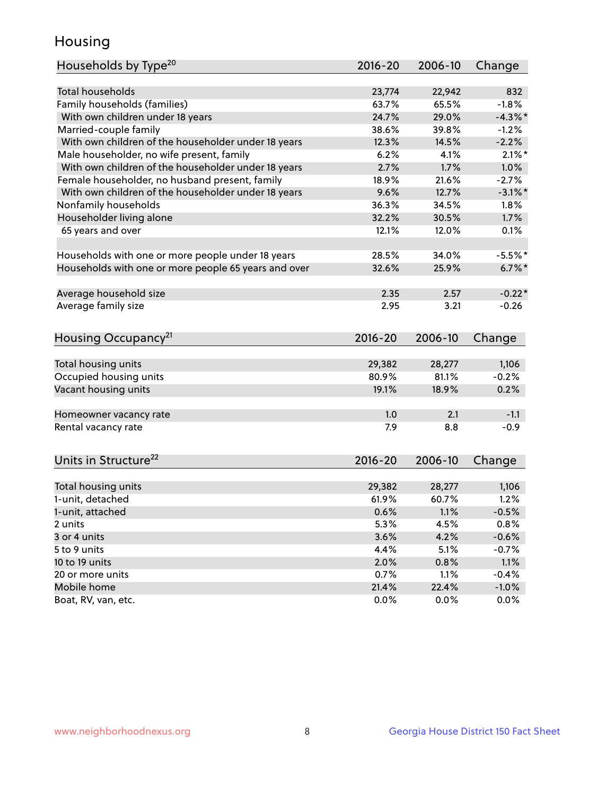## Housing

| Households by Type <sup>20</sup>                     | 2016-20         | 2006-10         | Change              |
|------------------------------------------------------|-----------------|-----------------|---------------------|
| Total households                                     | 23,774          |                 | 832                 |
| Family households (families)                         | 63.7%           | 22,942<br>65.5% | $-1.8%$             |
| With own children under 18 years                     | 24.7%           | 29.0%           | $-4.3\%$ *          |
|                                                      |                 | 39.8%           |                     |
| Married-couple family                                | 38.6%           |                 | $-1.2%$             |
| With own children of the householder under 18 years  | 12.3%           | 14.5%           | $-2.2%$             |
| Male householder, no wife present, family            | 6.2%            | 4.1%            | $2.1\%$ *           |
| With own children of the householder under 18 years  | 2.7%            | 1.7%            | 1.0%                |
| Female householder, no husband present, family       | 18.9%           | 21.6%           | $-2.7%$             |
| With own children of the householder under 18 years  | 9.6%            | 12.7%           | $-3.1\%$ *          |
| Nonfamily households                                 | 36.3%           | 34.5%           | $1.8\%$             |
| Householder living alone                             | 32.2%           | 30.5%           | 1.7%                |
| 65 years and over                                    | 12.1%           | 12.0%           | 0.1%                |
| Households with one or more people under 18 years    | 28.5%           | 34.0%           | $-5.5%$             |
| Households with one or more people 65 years and over | 32.6%           | 25.9%           | $6.7\%$ *           |
|                                                      |                 |                 |                     |
| Average household size                               | 2.35            | 2.57            | $-0.22*$            |
| Average family size                                  | 2.95            | 3.21            | $-0.26$             |
| Housing Occupancy <sup>21</sup>                      | 2016-20         | 2006-10         | Change              |
|                                                      |                 |                 |                     |
| Total housing units                                  | 29,382          | 28,277          | 1,106               |
| Occupied housing units                               | 80.9%           | 81.1%           | $-0.2%$             |
| Vacant housing units                                 | 19.1%           | 18.9%           | 0.2%                |
| Homeowner vacancy rate                               | 1.0             | 2.1             | $-1.1$              |
| Rental vacancy rate                                  | 7.9             | 8.8             | $-0.9$              |
|                                                      |                 |                 |                     |
| Units in Structure <sup>22</sup>                     | $2016 - 20$     | 2006-10         | Change              |
| Total housing units                                  | 29,382          | 28,277          | 1,106               |
| 1-unit, detached                                     | 61.9%           | 60.7%           | 1.2%                |
|                                                      |                 |                 |                     |
| 1-unit, attached<br>2 units                          | $0.6\%$<br>5.3% | $1.1\%$<br>4.5% | $-0.5%$<br>0.8%     |
| 3 or 4 units                                         | 3.6%            | 4.2%            | $-0.6%$             |
| 5 to 9 units                                         | 4.4%            | 5.1%            |                     |
| 10 to 19 units                                       |                 |                 | $-0.7%$             |
| 20 or more units                                     | 2.0%            | 0.8%            | 1.1%                |
| Mobile home                                          | 0.7%<br>21.4%   | 1.1%<br>22.4%   | $-0.4%$<br>$-1.0\%$ |
|                                                      | 0.0%            | 0.0%            | 0.0%                |
| Boat, RV, van, etc.                                  |                 |                 |                     |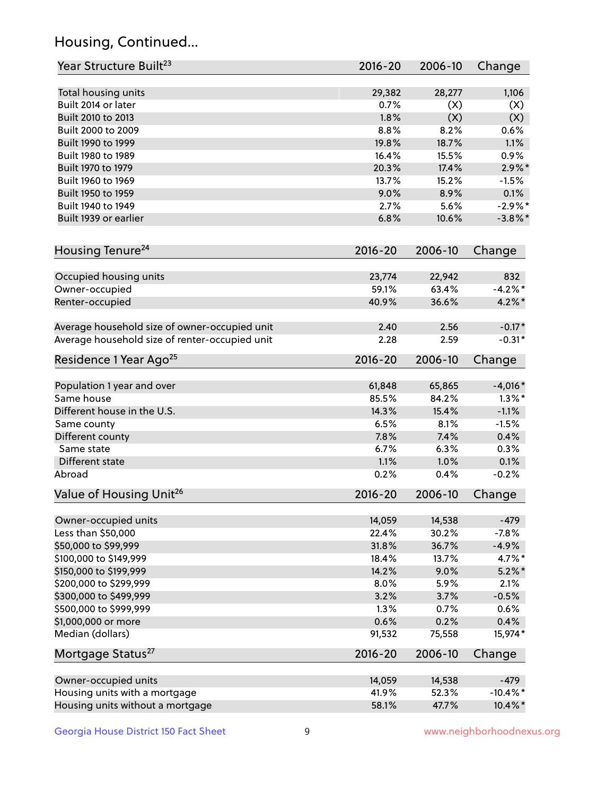## Housing, Continued...

| Year Structure Built <sup>23</sup>             | 2016-20     | 2006-10 | Change      |
|------------------------------------------------|-------------|---------|-------------|
| Total housing units                            | 29,382      | 28,277  | 1,106       |
| Built 2014 or later                            | 0.7%        | (X)     | (X)         |
| Built 2010 to 2013                             | 1.8%        | (X)     | (X)         |
| Built 2000 to 2009                             | 8.8%        | 8.2%    | 0.6%        |
| Built 1990 to 1999                             | 19.8%       | 18.7%   | 1.1%        |
| Built 1980 to 1989                             | 16.4%       | 15.5%   | 0.9%        |
| Built 1970 to 1979                             | 20.3%       | 17.4%   | $2.9\%$ *   |
| Built 1960 to 1969                             | 13.7%       | 15.2%   | $-1.5%$     |
| Built 1950 to 1959                             | 9.0%        | 8.9%    | 0.1%        |
| Built 1940 to 1949                             | 2.7%        | 5.6%    | $-2.9%$ *   |
| Built 1939 or earlier                          | 6.8%        | 10.6%   | $-3.8\%$ *  |
| Housing Tenure <sup>24</sup>                   | $2016 - 20$ | 2006-10 | Change      |
|                                                |             |         |             |
| Occupied housing units                         | 23,774      | 22,942  | 832         |
| Owner-occupied                                 | 59.1%       | 63.4%   | $-4.2%$ *   |
| Renter-occupied                                | 40.9%       | 36.6%   | $4.2\%$ *   |
| Average household size of owner-occupied unit  | 2.40        | 2.56    | $-0.17*$    |
| Average household size of renter-occupied unit | 2.28        | 2.59    | $-0.31*$    |
| Residence 1 Year Ago <sup>25</sup>             | $2016 - 20$ | 2006-10 | Change      |
| Population 1 year and over                     | 61,848      | 65,865  | $-4,016*$   |
| Same house                                     | 85.5%       | 84.2%   | $1.3\%$ *   |
| Different house in the U.S.                    | 14.3%       | 15.4%   | $-1.1%$     |
| Same county                                    | 6.5%        | 8.1%    | $-1.5%$     |
| Different county                               | 7.8%        | 7.4%    | 0.4%        |
| Same state                                     | 6.7%        | 6.3%    | 0.3%        |
| Different state                                | 1.1%        | 1.0%    | 0.1%        |
| Abroad                                         | 0.2%        | 0.4%    | $-0.2%$     |
| Value of Housing Unit <sup>26</sup>            | 2016-20     | 2006-10 | Change      |
|                                                |             |         |             |
| Owner-occupied units                           | 14,059      | 14,538  | $-479$      |
| Less than \$50,000                             | 22.4%       | 30.2%   | $-7.8%$     |
| \$50,000 to \$99,999                           | 31.8%       | 36.7%   | $-4.9%$     |
| \$100,000 to \$149,999                         | 18.4%       | 13.7%   | 4.7%*       |
| \$150,000 to \$199,999                         | 14.2%       | 9.0%    | $5.2\%$ *   |
| \$200,000 to \$299,999                         | 8.0%        | 5.9%    | 2.1%        |
| \$300,000 to \$499,999                         | 3.2%        | 3.7%    | $-0.5%$     |
| \$500,000 to \$999,999                         | 1.3%        | 0.7%    | 0.6%        |
| \$1,000,000 or more                            | 0.6%        | 0.2%    | 0.4%        |
| Median (dollars)                               | 91,532      | 75,558  | 15,974*     |
| Mortgage Status <sup>27</sup>                  | $2016 - 20$ | 2006-10 | Change      |
| Owner-occupied units                           | 14,059      | 14,538  | $-479$      |
| Housing units with a mortgage                  | 41.9%       | 52.3%   | $-10.4\%$ * |
| Housing units without a mortgage               | 58.1%       | 47.7%   | 10.4%*      |
|                                                |             |         |             |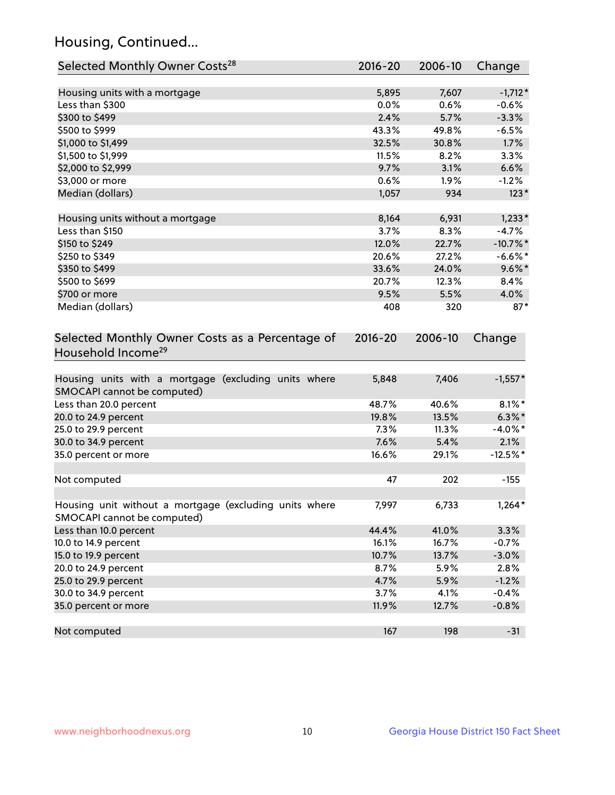## Housing, Continued...

| Selected Monthly Owner Costs <sup>28</sup>                                            | $2016 - 20$ | 2006-10 | Change      |
|---------------------------------------------------------------------------------------|-------------|---------|-------------|
| Housing units with a mortgage                                                         | 5,895       | 7,607   | $-1,712*$   |
| Less than \$300                                                                       | 0.0%        | 0.6%    | $-0.6%$     |
| \$300 to \$499                                                                        | 2.4%        | 5.7%    | $-3.3%$     |
| \$500 to \$999                                                                        | 43.3%       | 49.8%   | $-6.5%$     |
| \$1,000 to \$1,499                                                                    | 32.5%       | 30.8%   | 1.7%        |
| \$1,500 to \$1,999                                                                    | 11.5%       | 8.2%    | 3.3%        |
| \$2,000 to \$2,999                                                                    | 9.7%        | 3.1%    | 6.6%        |
| \$3,000 or more                                                                       | 0.6%        | 1.9%    | $-1.2%$     |
| Median (dollars)                                                                      | 1,057       | 934     | $123*$      |
| Housing units without a mortgage                                                      | 8,164       | 6,931   | $1,233*$    |
| Less than \$150                                                                       | 3.7%        | 8.3%    | $-4.7%$     |
| \$150 to \$249                                                                        | 12.0%       | 22.7%   | $-10.7\%$ * |
| \$250 to \$349                                                                        | 20.6%       | 27.2%   | $-6.6%$ *   |
| \$350 to \$499                                                                        | 33.6%       | 24.0%   | $9.6\%$ *   |
| \$500 to \$699                                                                        | 20.7%       | 12.3%   | 8.4%        |
| \$700 or more                                                                         | 9.5%        | 5.5%    | 4.0%        |
| Median (dollars)                                                                      | 408         | 320     | $87*$       |
| Selected Monthly Owner Costs as a Percentage of<br>Household Income <sup>29</sup>     | $2016 - 20$ | 2006-10 | Change      |
| Housing units with a mortgage (excluding units where<br>SMOCAPI cannot be computed)   | 5,848       | 7,406   | $-1,557*$   |
| Less than 20.0 percent                                                                | 48.7%       | 40.6%   | $8.1\%$ *   |
| 20.0 to 24.9 percent                                                                  | 19.8%       | 13.5%   | $6.3\%*$    |
| 25.0 to 29.9 percent                                                                  | 7.3%        | 11.3%   | $-4.0\%$ *  |
| 30.0 to 34.9 percent                                                                  | 7.6%        | 5.4%    | 2.1%        |
| 35.0 percent or more                                                                  | 16.6%       | 29.1%   | $-12.5%$ *  |
| Not computed                                                                          | 47          | 202     | $-155$      |
| Housing unit without a mortgage (excluding units where<br>SMOCAPI cannot be computed) | 7,997       | 6,733   | $1,264*$    |
| Less than 10.0 percent                                                                | 44.4%       | 41.0%   | 3.3%        |
| 10.0 to 14.9 percent                                                                  | 16.1%       | 16.7%   | $-0.7%$     |
| 15.0 to 19.9 percent                                                                  | 10.7%       | 13.7%   | $-3.0%$     |
| 20.0 to 24.9 percent                                                                  | 8.7%        | 5.9%    | 2.8%        |
| 25.0 to 29.9 percent                                                                  | 4.7%        | 5.9%    | $-1.2%$     |
| 30.0 to 34.9 percent                                                                  | 3.7%        | 4.1%    | $-0.4%$     |
| 35.0 percent or more                                                                  | 11.9%       | 12.7%   | $-0.8%$     |
| Not computed                                                                          | 167         | 198     | $-31$       |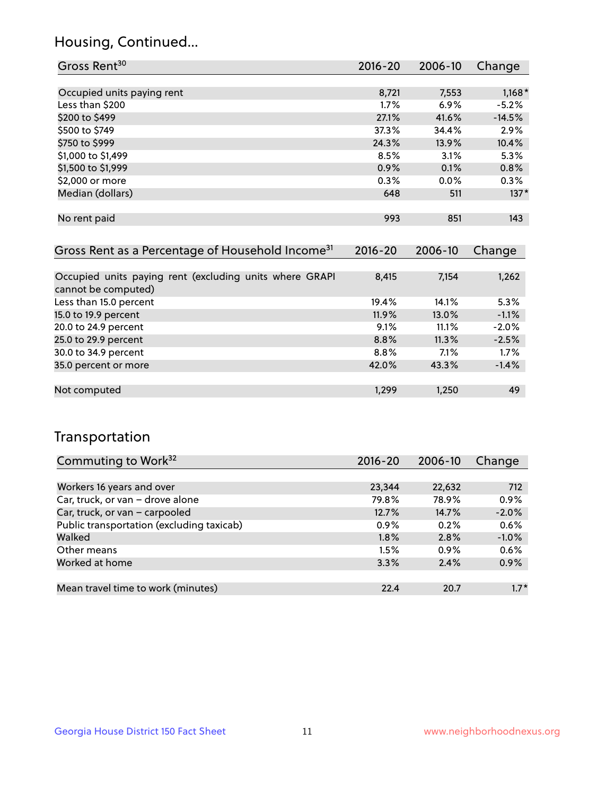## Housing, Continued...

| Gross Rent <sup>30</sup>                                     | 2016-20     | 2006-10     | Change   |
|--------------------------------------------------------------|-------------|-------------|----------|
|                                                              |             |             |          |
| Occupied units paying rent                                   | 8,721       | 7,553       | $1,168*$ |
| Less than \$200                                              | $1.7\%$     | $6.9\%$     | $-5.2%$  |
| \$200 to \$499                                               | 27.1%       | 41.6%       | $-14.5%$ |
| \$500 to \$749                                               | 37.3%       | 34.4%       | 2.9%     |
| \$750 to \$999                                               | 24.3%       | 13.9%       | 10.4%    |
| \$1,000 to \$1,499                                           | 8.5%        | 3.1%        | 5.3%     |
| \$1,500 to \$1,999                                           | 0.9%        | 0.1%        | 0.8%     |
| \$2,000 or more                                              | 0.3%        | $0.0\%$     | $0.3\%$  |
| Median (dollars)                                             | 648         | 511         | $137*$   |
|                                                              |             |             |          |
| No rent paid                                                 | 993         | 851         | 143      |
|                                                              |             |             |          |
| Gross Rent as a Percentage of Household Income <sup>31</sup> | $2016 - 20$ | $2006 - 10$ | Change   |

| <b>Prossiliant de directituge of Housenoid Income</b>   | $\sim$ $\sim$ $\sim$ | <b>LVVV</b> 19 | <u>unungu</u> |
|---------------------------------------------------------|----------------------|----------------|---------------|
|                                                         |                      |                |               |
| Occupied units paying rent (excluding units where GRAPI | 8,415                | 7,154          | 1,262         |
| cannot be computed)                                     |                      |                |               |
| Less than 15.0 percent                                  | 19.4%                | 14.1%          | 5.3%          |
| 15.0 to 19.9 percent                                    | 11.9%                | 13.0%          | $-1.1%$       |
| 20.0 to 24.9 percent                                    | 9.1%                 | 11.1%          | $-2.0%$       |
| 25.0 to 29.9 percent                                    | 8.8%                 | 11.3%          | $-2.5%$       |
| 30.0 to 34.9 percent                                    | 8.8%                 | $7.1\%$        | 1.7%          |
| 35.0 percent or more                                    | 42.0%                | 43.3%          | $-1.4%$       |
|                                                         |                      |                |               |
| Not computed                                            | 1,299                | 1,250          | 49            |
|                                                         |                      |                |               |

### Transportation

| Commuting to Work <sup>32</sup>           | $2016 - 20$ | 2006-10 | Change  |
|-------------------------------------------|-------------|---------|---------|
|                                           |             |         |         |
| Workers 16 years and over                 | 23,344      | 22,632  | 712     |
| Car, truck, or van - drove alone          | 79.8%       | 78.9%   | 0.9%    |
| Car, truck, or van - carpooled            | 12.7%       | 14.7%   | $-2.0%$ |
| Public transportation (excluding taxicab) | 0.9%        | 0.2%    | 0.6%    |
| Walked                                    | 1.8%        | 2.8%    | $-1.0%$ |
| Other means                               | 1.5%        | $0.9\%$ | 0.6%    |
| Worked at home                            | 3.3%        | 2.4%    | 0.9%    |
|                                           |             |         |         |
| Mean travel time to work (minutes)        | 22.4        | 20.7    | $1.7*$  |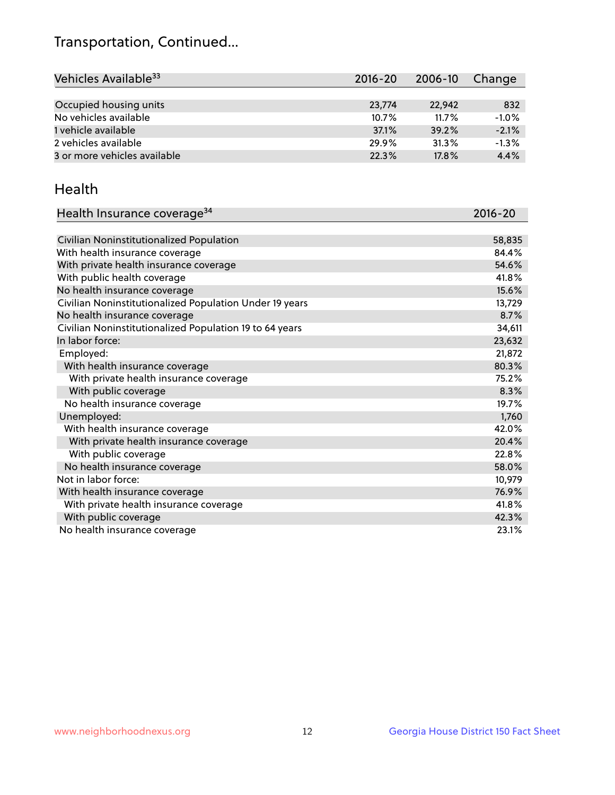## Transportation, Continued...

| Vehicles Available <sup>33</sup> | 2016-20 | 2006-10  | Change  |
|----------------------------------|---------|----------|---------|
|                                  |         |          |         |
| Occupied housing units           | 23,774  | 22.942   | 832     |
| No vehicles available            | 10.7%   | $11.7\%$ | $-1.0%$ |
| 1 vehicle available              | 37.1%   | 39.2%    | $-2.1%$ |
| 2 vehicles available             | 29.9%   | 31.3%    | $-1.3%$ |
| 3 or more vehicles available     | 22.3%   | 17.8%    | 4.4%    |

#### Health

| Health Insurance coverage <sup>34</sup>                 | 2016-20 |
|---------------------------------------------------------|---------|
|                                                         |         |
| Civilian Noninstitutionalized Population                | 58,835  |
| With health insurance coverage                          | 84.4%   |
| With private health insurance coverage                  | 54.6%   |
| With public health coverage                             | 41.8%   |
| No health insurance coverage                            | 15.6%   |
| Civilian Noninstitutionalized Population Under 19 years | 13,729  |
| No health insurance coverage                            | 8.7%    |
| Civilian Noninstitutionalized Population 19 to 64 years | 34,611  |
| In labor force:                                         | 23,632  |
| Employed:                                               | 21,872  |
| With health insurance coverage                          | 80.3%   |
| With private health insurance coverage                  | 75.2%   |
| With public coverage                                    | 8.3%    |
| No health insurance coverage                            | 19.7%   |
| Unemployed:                                             | 1,760   |
| With health insurance coverage                          | 42.0%   |
| With private health insurance coverage                  | 20.4%   |
| With public coverage                                    | 22.8%   |
| No health insurance coverage                            | 58.0%   |
| Not in labor force:                                     | 10,979  |
| With health insurance coverage                          | 76.9%   |
| With private health insurance coverage                  | 41.8%   |
| With public coverage                                    | 42.3%   |
| No health insurance coverage                            | 23.1%   |